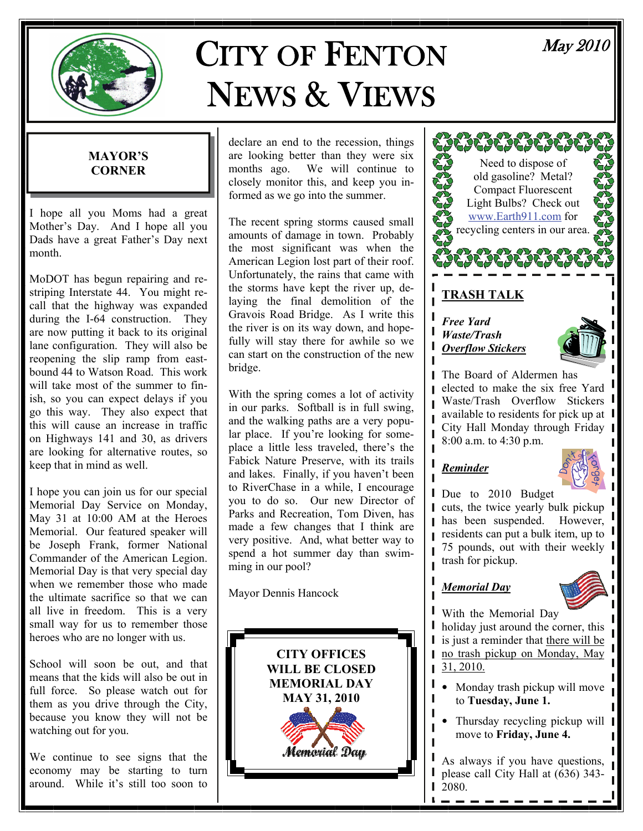

# CITY OF FENTON NEWS & VIEWS

# May 2010

#### **MAYOR'S CORNER**

I hope all you Moms had a great Mother's Day. And I hope all you Dads have a great Father's Day next month.

MoDOT has begun repairing and restriping Interstate 44. You might recall that the highway was expanded during the I-64 construction. They are now putting it back to its original lane configuration. They will also be reopening the slip ramp from eastbound 44 to Watson Road. This work will take most of the summer to finish, so you can expect delays if you go this way. They also expect that this will cause an increase in traffic on Highways 141 and 30, as drivers are looking for alternative routes, so keep that in mind as well.

I hope you can join us for our special Memorial Day Service on Monday, May 31 at 10:00 AM at the Heroes Memorial. Our featured speaker will be Joseph Frank, former National Commander of the American Legion. Memorial Day is that very special day when we remember those who made the ultimate sacrifice so that we can all live in freedom. This is a very small way for us to remember those heroes who are no longer with us.

School will soon be out, and that means that the kids will also be out in full force. So please watch out for them as you drive through the City, because you know they will not be watching out for you.

We continue to see signs that the economy may be starting to turn around. While it's still too soon to

declare an end to the recession, things are looking better than they were six<br>months ago. We will continue to We will continue to closely monitor this, and keep you informed as we go into the summer.

The recent spring storms caused small amounts of damage in town. Probably the most significant was when the American Legion lost part of their roof. Unfortunately, the rains that came with the storms have kept the river up, delaying the final demolition of the Gravois Road Bridge. As I write this the river is on its way down, and hopefully will stay there for awhile so we can start on the construction of the new bridge.

With the spring comes a lot of activity in our parks. Softball is in full swing, and the walking paths are a very popular place. If you're looking for someplace a little less traveled, there's the Fabick Nature Preserve, with its trails and lakes. Finally, if you haven't been to RiverChase in a while, I encourage you to do so. Our new Director of Parks and Recreation, Tom Diven, has made a few changes that I think are very positive. And, what better way to spend a hot summer day than swimming in our pool?

Mayor Dennis Hancock





# **TRASH TALK**

*Free Yard Waste/Trash Overflow Stickers*



**I** The Board of Aldermen has elected to make the six free Yard Waste/Trash Overflow Stickers **available to residents for pick up at** City Hall Monday through Friday 8:00 a.m. to 4:30 p.m.

# *Reminder*



**I** Due to 2010 Budget

cuts, the twice yearly bulk pickup has been suspended. However, residents can put a bulk item, up to 75 pounds, out with their weekly trash for pickup.

# *Memorial Day*



With the Memorial Day I holiday just around the corner, this **i** is just a reminder that there will be  $\blacksquare$  no trash pickup on Monday, May 1 31, 2010.

- Monday trash pickup will move to **Tuesday, June 1.**
- Thursday recycling pickup will | move to **Friday, June 4.**

As always if you have questions, please call City Hall at (636) 343- 2080.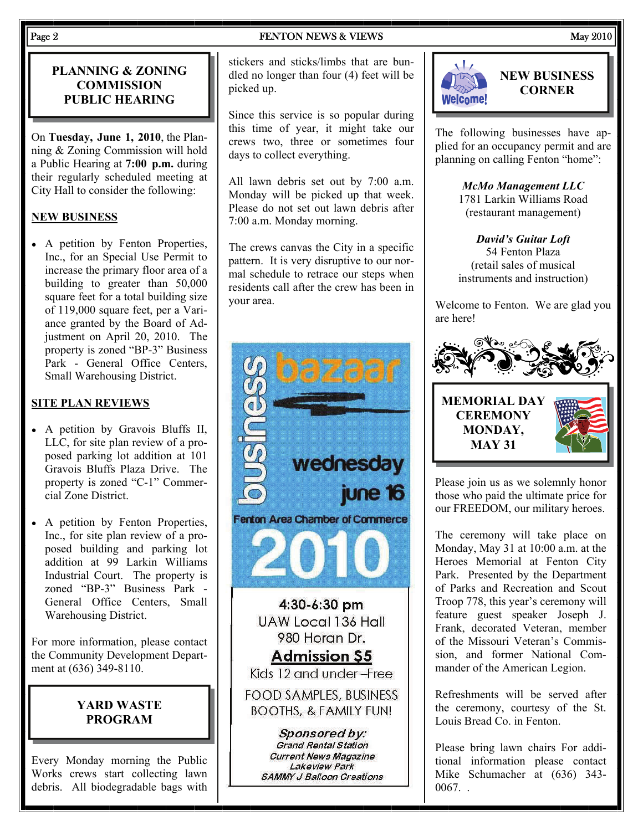#### Page 2 **FENTON NEWS & VIEWS** May 2010

### **PLANNING & ZONING COMMISSION PUBLIC HEARING**

On **Tuesday, June 1, 2010**, the Planning & Zoning Commission will hold a Public Hearing at **7:00 p.m.** during their regularly scheduled meeting at City Hall to consider the following:

# **NEW BUSINESS**

• A petition by Fenton Properties, Inc., for an Special Use Permit to increase the primary floor area of a building to greater than 50,000 square feet for a total building size of 119,000 square feet, per a Variance granted by the Board of Adjustment on April 20, 2010. The property is zoned "BP-3" Business Park - General Office Centers, Small Warehousing District.

# **SITE PLAN REVIEWS**

- A petition by Gravois Bluffs II, LLC, for site plan review of a proposed parking lot addition at 101 Gravois Bluffs Plaza Drive. The property is zoned "C-1" Commercial Zone District.
- A petition by Fenton Properties, Inc., for site plan review of a proposed building and parking lot addition at 99 Larkin Williams Industrial Court. The property is zoned "BP-3" Business Park - General Office Centers, Small Warehousing District.

For more information, please contact the Community Development Department at (636) 349-8110.

# **YARD WASTE PROGRAM**

Every Monday morning the Public Works crews start collecting lawn debris. All biodegradable bags with stickers and sticks/limbs that are bundled no longer than four (4) feet will be picked up.

Since this service is so popular during this time of year, it might take our crews two, three or sometimes four days to collect everything.

All lawn debris set out by 7:00 a.m. Monday will be picked up that week. Please do not set out lawn debris after 7:00 a.m. Monday morning.

The crews canvas the City in a specific pattern. It is very disruptive to our normal schedule to retrace our steps when residents call after the crew has been in your area.





The following businesses have applied for an occupancy permit and are planning on calling Fenton "home":

> *McMo Management LLC*  1781 Larkin Williams Road (restaurant management)

> *David's Guitar Loft*  54 Fenton Plaza (retail sales of musical instruments and instruction)

Welcome to Fenton. We are glad you are here!



Please join us as we solemnly honor those who paid the ultimate price for our FREEDOM, our military heroes.

The ceremony will take place on Monday, May 31 at 10:00 a.m. at the Heroes Memorial at Fenton City Park. Presented by the Department of Parks and Recreation and Scout Troop 778, this year's ceremony will feature guest speaker Joseph J. Frank, decorated Veteran, member of the Missouri Veteran's Commission, and former National Commander of the American Legion.

Refreshments will be served after the ceremony, courtesy of the St. Louis Bread Co. in Fenton.

Please bring lawn chairs For additional information please contact Mike Schumacher at (636) 343- 0067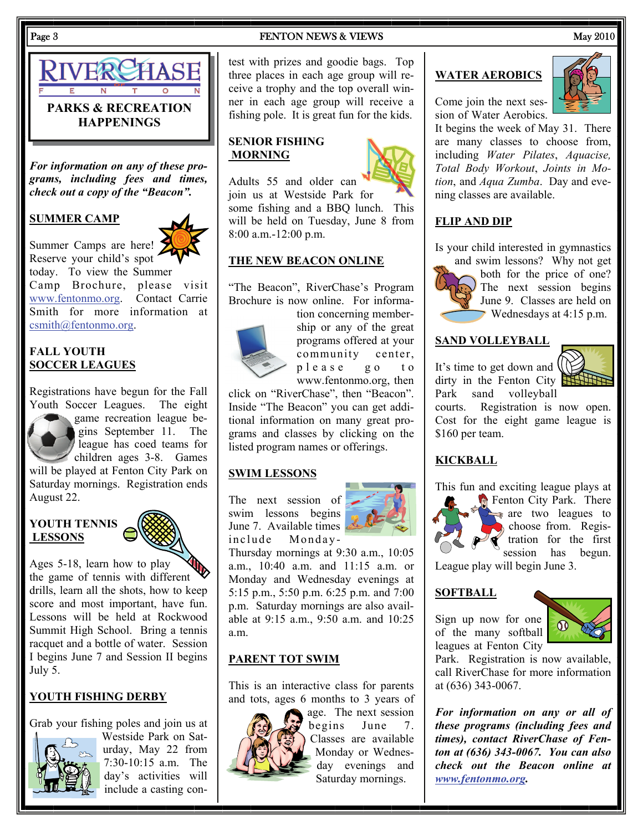

*For information on any of these programs, including fees and times, check out a copy of the "Beacon".* 

#### **SUMMER CAMP**

Summer Camps are here! Reserve your child's spot

today. To view the Summer Camp Brochure, please visit [www.fentonmo.org](http://www.fentonmo.org). Contact Carrie Smith for more information at [csmith@fentonmo.org](mailto:csmith@fentonmo.org).

#### **FALL YOUTH SOCCER LEAGUES**

Registrations have begun for the Fall Youth Soccer Leagues. The eight game recreation league begins September 11. The league has coed teams for children ages 3-8. Games will be played at Fenton City Park on Saturday mornings. Registration ends August 22.

#### **YOUTH TENNIS LESSONS**

Ages 5-18, learn how to play Ages 5-18, learn how to play<br>the game of tennis with different drills, learn all the shots, how to keep score and most important, have fun. Lessons will be held at Rockwood Summit High School. Bring a tennis racquet and a bottle of water. Session I begins June 7 and Session II begins July 5.

# **YOUTH FISHING DERBY**

Grab your fishing poles and join us at



Westside Park on Saturday, May 22 from 7:30-10:15 a.m. The day's activities will include a casting con-

#### Page 3 **FENTON NEWS & VIEWS** May 2010

test with prizes and goodie bags. Top three places in each age group will receive a trophy and the top overall winner in each age group will receive a fishing pole. It is great fun for the kids.

#### **SENIOR FISHING MORNING**



Adults 55 and older can join us at Westside Park for some fishing and a BBQ lunch. This will be held on Tuesday, June 8 from 8:00 a.m.-12:00 p.m.

#### **THE NEW BEACON ONLINE**

"The Beacon", RiverChase's Program Brochure is now online. For informa-



ship or any of the great programs offered at your community center, p l e a s e g o t o www.fentonmo.org, then

tion concerning member-

click on "RiverChase", then "Beacon". Inside "The Beacon" you can get additional information on many great programs and classes by clicking on the listed program names or offerings.

### **SWIM LESSONS**

The next session of swim lessons begins June 7. Available times include Monday-



Thursday mornings at 9:30 a.m., 10:05 a.m., 10:40 a.m. and 11:15 a.m. or Monday and Wednesday evenings at 5:15 p.m., 5:50 p.m. 6:25 p.m. and 7:00 p.m. Saturday mornings are also available at 9:15 a.m., 9:50 a.m. and 10:25 a.m.

### **PARENT TOT SWIM**

This is an interactive class for parents and tots, ages 6 months to 3 years of



age. The next session begins June 7. Classes are available Monday or Wednesday evenings and Saturday mornings.

#### **WATER AEROBICS**



Come join the next session of Water Aerobics.

It begins the week of May 31. There are many classes to choose from, including *Water Pilates*, *Aquacise, Total Body Workout*, *Joints in Motion*, and *Aqua Zumba*. Day and evening classes are available.

#### **FLIP AND DIP**

Is your child interested in gymnastics



and swim lessons? Why not get both for the price of one? The next session begins June 9. Classes are held on Wednesdays at 4:15 p.m.

#### **SAND VOLLEYBALL**

It's time to get down and dirty in the Fenton City Park sand volleyball



courts. Registration is now open. Cost for the eight game league is \$160 per team.

### **KICKBALL**

This fun and exciting league plays at



Fenton City Park. There are two leagues to choose from. Regis**tration** for the first session has begun.

League play will begin June 3.

#### **SOFTBALL**

Sign up now for one of the many softball leagues at Fenton City



Park. Registration is now available, call RiverChase for more information at (636) 343-0067.

*For information on any or all of these programs (including fees and times), contact RiverChase of Fenton at (636) 343-0067. You can also check out the Beacon online at [www.fentonmo.org](http://www.fentonmo.org).*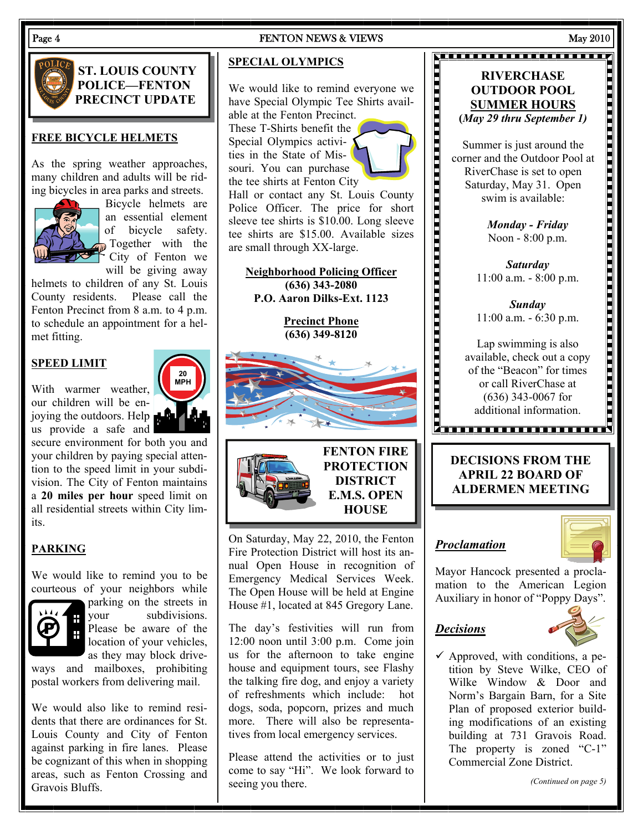#### **ST. LOUIS COUNTY POLICE—FENTON PRECINCT UPDATE**

#### **FREE BICYCLE HELMETS**

As the spring weather approaches, many children and adults will be riding bicycles in area parks and streets.



Bicycle helmets are an essential element of bicycle safety. Together with the  $\zeta$  City of Fenton we will be giving away

helmets to children of any St. Louis County residents. Please call the Fenton Precinct from 8 a.m. to 4 p.m. to schedule an appointment for a helmet fitting.

#### **SPEED LIMIT**

With warmer weather, our children will be enjoying the outdoors. Help us provide a safe and

secure environment for both you and your children by paying special attention to the speed limit in your subdivision. The City of Fenton maintains a **20 miles per hour** speed limit on all residential streets within City limits.

#### **PARKING**

We would like to remind you to be courteous of your neighbors while



parking on the streets in your subdivisions. Please be aware of the location of your vehicles, as they may block drive-

ways and mailboxes, prohibiting postal workers from delivering mail.

We would also like to remind residents that there are ordinances for St. Louis County and City of Fenton against parking in fire lanes. Please be cognizant of this when in shopping areas, such as Fenton Crossing and Gravois Bluffs.

#### Page 4 FENTON NEWS & VIEWS May 2010

#### **SPECIAL OLYMPICS**

We would like to remind everyone we have Special Olympic Tee Shirts available at the Fenton Precinct. These T-Shirts benefit the Special Olympics activities in the State of Missouri. You can purchase the tee shirts at Fenton City Hall or contact any St. Louis County

Police Officer. The price for short sleeve tee shirts is \$10.00. Long sleeve tee shirts are \$15.00. Available sizes are small through XX-large.

**Neighborhood Policing Officer (636) 343-2080 P.O. Aaron Dilks-Ext. 1123** 

> **Precinct Phone (636) 349-8120**





On Saturday, May 22, 2010, the Fenton Fire Protection District will host its annual Open House in recognition of **HOUSE** 

**PROTECTION DISTRICT E.M.S. OPEN** 

Emergency Medical Services Week. The Open House will be held at Engine House #1, located at 845 Gregory Lane.

The day's festivities will run from 12:00 noon until 3:00 p.m. Come join us for the afternoon to take engine house and equipment tours, see Flashy the talking fire dog, and enjoy a variety of refreshments which include: hot dogs, soda, popcorn, prizes and much more. There will also be representatives from local emergency services.

Please attend the activities or to just come to say "Hi". We look forward to seeing you there.

#### **RIVERCHASE OUTDOOR POOL SUMMER HOURS (***May 29 thru September 1)*

**NE FEITHEIT EINE EINE EINE** 

Summer is just around the corner and the Outdoor Pool at RiverChase is set to open Saturday, May 31. Open swim is available:

*Monday - Friday*  Noon - 8:00 p.m.

*Saturday*  11:00 a.m. - 8:00 p.m.

*Sunday*  11:00 a.m. - 6:30 p.m.

Lap swimming is also available, check out a copy of the "Beacon" for times or call RiverChase at (636) 343-0067 for additional information.

# **DECISIONS FROM THE APRIL 22 BOARD OF ALDERMEN MEETING**

#### *Proclamation*



Mayor Hancock presented a proclamation to the American Legion Auxiliary in honor of "Poppy Days".

#### *Decisions*



 $\checkmark$  Approved, with conditions, a petition by Steve Wilke, CEO of Wilke Window & Door and Norm's Bargain Barn, for a Site Plan of proposed exterior building modifications of an existing building at 731 Gravois Road. The property is zoned "C-1" Commercial Zone District.

*(Continued on page 5)* 

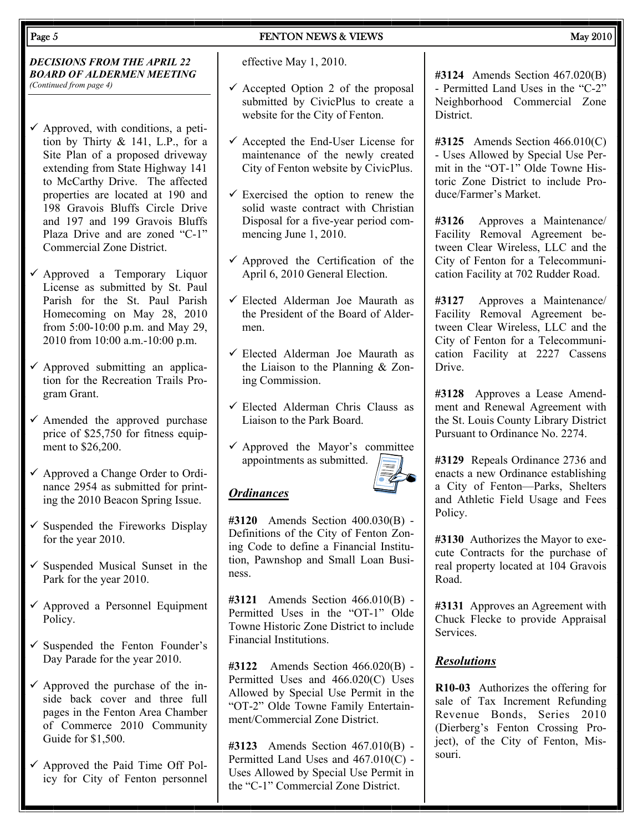#### *DECISIONS FROM THE APRIL 22 BOARD OF ALDERMEN MEETING (Continued from page 4)*

- $\checkmark$  Approved, with conditions, a petition by Thirty & 141, L.P., for a Site Plan of a proposed driveway extending from State Highway 141 to McCarthy Drive. The affected properties are located at 190 and 198 Gravois Bluffs Circle Drive and 197 and 199 Gravois Bluffs Plaza Drive and are zoned "C-1" Commercial Zone District.
- $\checkmark$  Approved a Temporary Liquor License as submitted by St. Paul Parish for the St. Paul Parish Homecoming on May 28, 2010 from 5:00-10:00 p.m. and May 29, 2010 from 10:00 a.m.-10:00 p.m.
- $\checkmark$  Approved submitting an application for the Recreation Trails Program Grant.
- $\checkmark$  Amended the approved purchase price of \$25,750 for fitness equipment to \$26,200.
- $\checkmark$  Approved a Change Order to Ordinance 2954 as submitted for printing the 2010 Beacon Spring Issue.
- $\checkmark$  Suspended the Fireworks Display for the year 2010.
- $\checkmark$  Suspended Musical Sunset in the Park for the year 2010.
- $\checkmark$  Approved a Personnel Equipment Policy.
- $\checkmark$  Suspended the Fenton Founder's Day Parade for the year 2010.
- $\checkmark$  Approved the purchase of the inside back cover and three full pages in the Fenton Area Chamber of Commerce 2010 Community Guide for \$1,500.
- $\checkmark$  Approved the Paid Time Off Policy for City of Fenton personnel

effective May 1, 2010.

- $\checkmark$  Accepted Option 2 of the proposal submitted by CivicPlus to create a website for the City of Fenton.
- $\checkmark$  Accepted the End-User License for maintenance of the newly created City of Fenton website by CivicPlus.
- $\checkmark$  Exercised the option to renew the solid waste contract with Christian Disposal for a five-year period commencing June 1, 2010.
- $\checkmark$  Approved the Certification of the April 6, 2010 General Election.
- $\checkmark$  Elected Alderman Joe Maurath as the President of the Board of Aldermen.
- $\checkmark$  Elected Alderman Joe Maurath as the Liaison to the Planning & Zoning Commission.
- $\checkmark$  Elected Alderman Chris Clauss as Liaison to the Park Board.
- $\checkmark$  Approved the Mayor's committee appointments as submitted.

# *Ordinances*

**#3120** Amends Section 400.030(B) - Definitions of the City of Fenton Zoning Code to define a Financial Institution, Pawnshop and Small Loan Business.

**#3121** Amends Section 466.010(B) - Permitted Uses in the "OT-1" Olde Towne Historic Zone District to include Financial Institutions.

**#3122** Amends Section 466.020(B) - Permitted Uses and 466.020(C) Uses Allowed by Special Use Permit in the "OT-2" Olde Towne Family Entertainment/Commercial Zone District.

**#3123** Amends Section 467.010(B) - Permitted Land Uses and 467.010(C) - Uses Allowed by Special Use Permit in the "C-1" Commercial Zone District.

**#3124** Amends Section 467.020(B) - Permitted Land Uses in the "C-2" Neighborhood Commercial Zone **District** 

**#3125** Amends Section 466.010(C) - Uses Allowed by Special Use Permit in the "OT-1" Olde Towne Historic Zone District to include Produce/Farmer's Market.

**#3126** Approves a Maintenance/ Facility Removal Agreement between Clear Wireless, LLC and the City of Fenton for a Telecommunication Facility at 702 Rudder Road.

**#3127** Approves a Maintenance/ Facility Removal Agreement between Clear Wireless, LLC and the City of Fenton for a Telecommunication Facility at 2227 Cassens **Drive.** 

**#3128** Approves a Lease Amendment and Renewal Agreement with the St. Louis County Library District Pursuant to Ordinance No. 2274.

**#3129** Repeals Ordinance 2736 and enacts a new Ordinance establishing a City of Fenton—Parks, Shelters and Athletic Field Usage and Fees Policy.

**#3130** Authorizes the Mayor to execute Contracts for the purchase of real property located at 104 Gravois Road.

**#3131** Approves an Agreement with Chuck Flecke to provide Appraisal Services.

### *Resolutions*

**R10-03** Authorizes the offering for sale of Tax Increment Refunding Revenue Bonds, Series 2010 (Dierberg's Fenton Crossing Project), of the City of Fenton, Missouri.